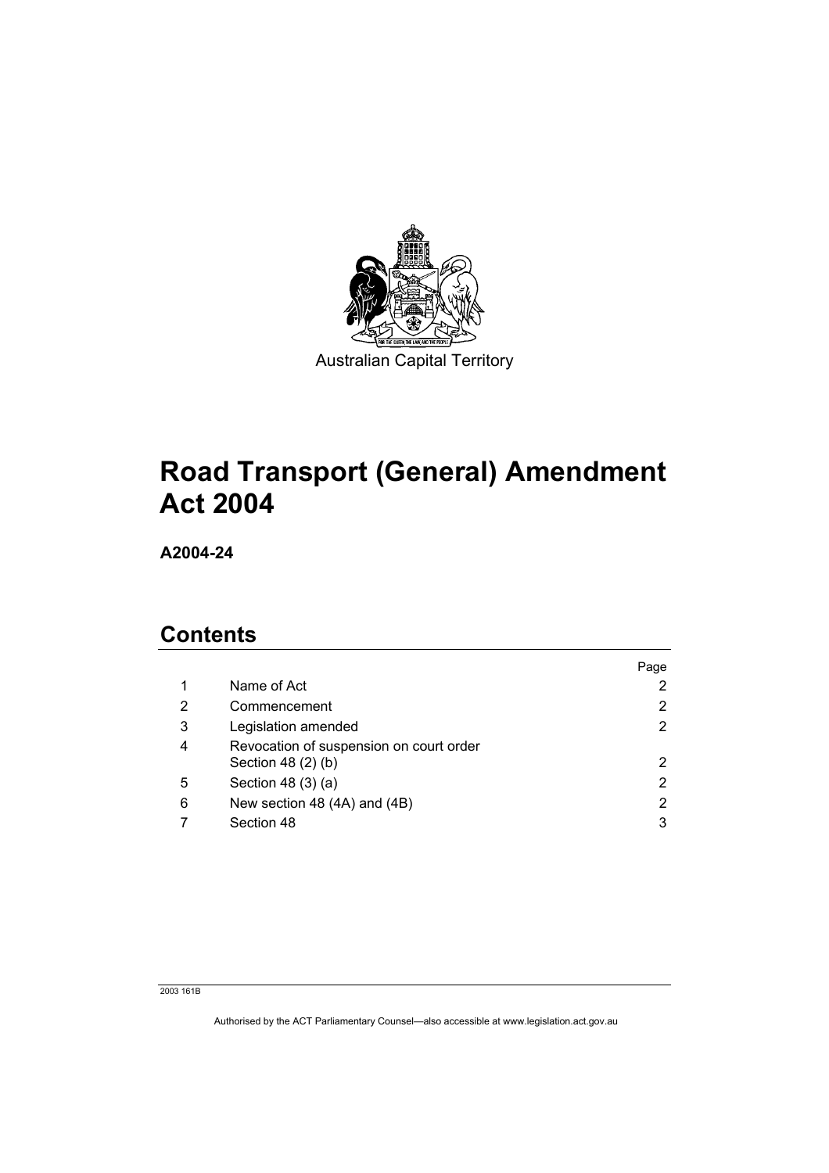

# **Road Transport (General) Amendment Act 2004**

**A2004-24** 

## **Contents**

|   |                                                               | Page |
|---|---------------------------------------------------------------|------|
|   | Name of Act                                                   |      |
| 2 | Commencement                                                  |      |
| 3 | Legislation amended                                           | 2    |
| 4 | Revocation of suspension on court order<br>Section 48 (2) (b) | 2    |
| 5 | Section 48 (3) (a)                                            | 2    |
| 6 | New section 48 (4A) and (4B)                                  |      |
|   | Section 48                                                    | 3    |

2003 161B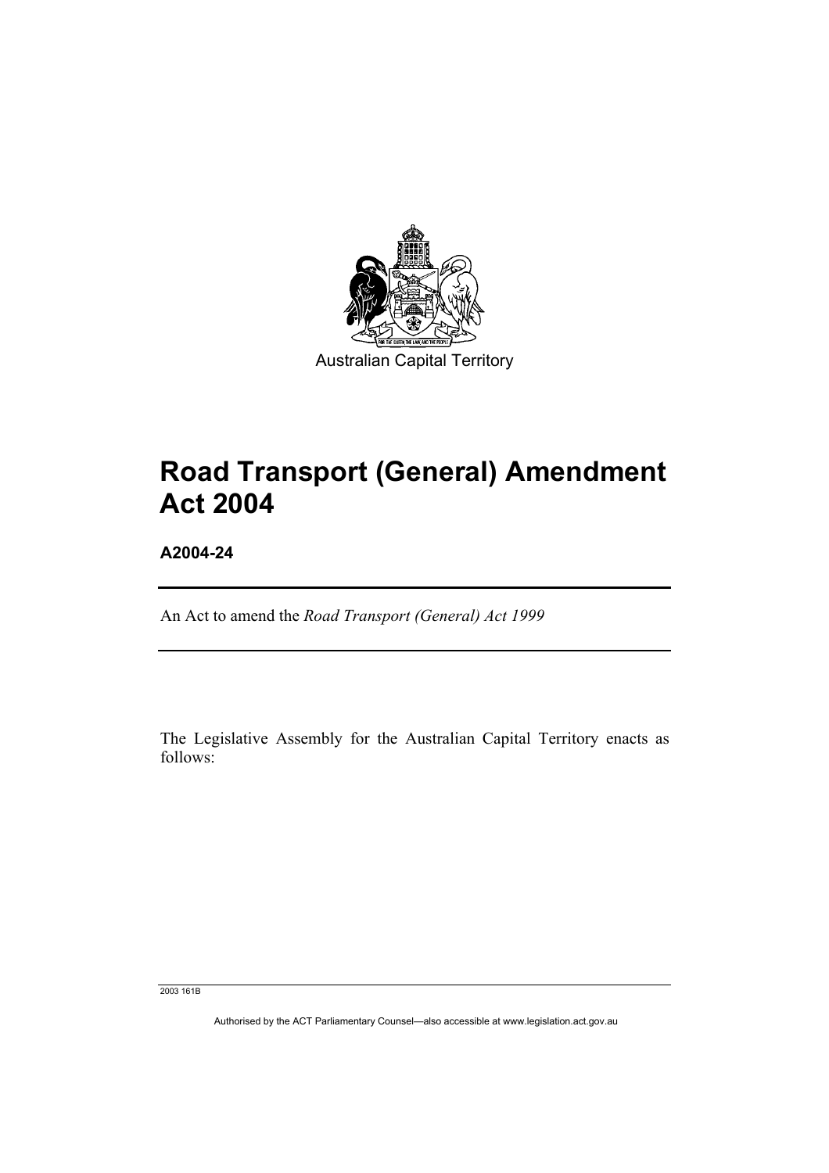

# **Road Transport (General) Amendment Act 2004**

**A2004-24** 

An Act to amend the *Road Transport (General) Act 1999*

The Legislative Assembly for the Australian Capital Territory enacts as follows:

2003 161B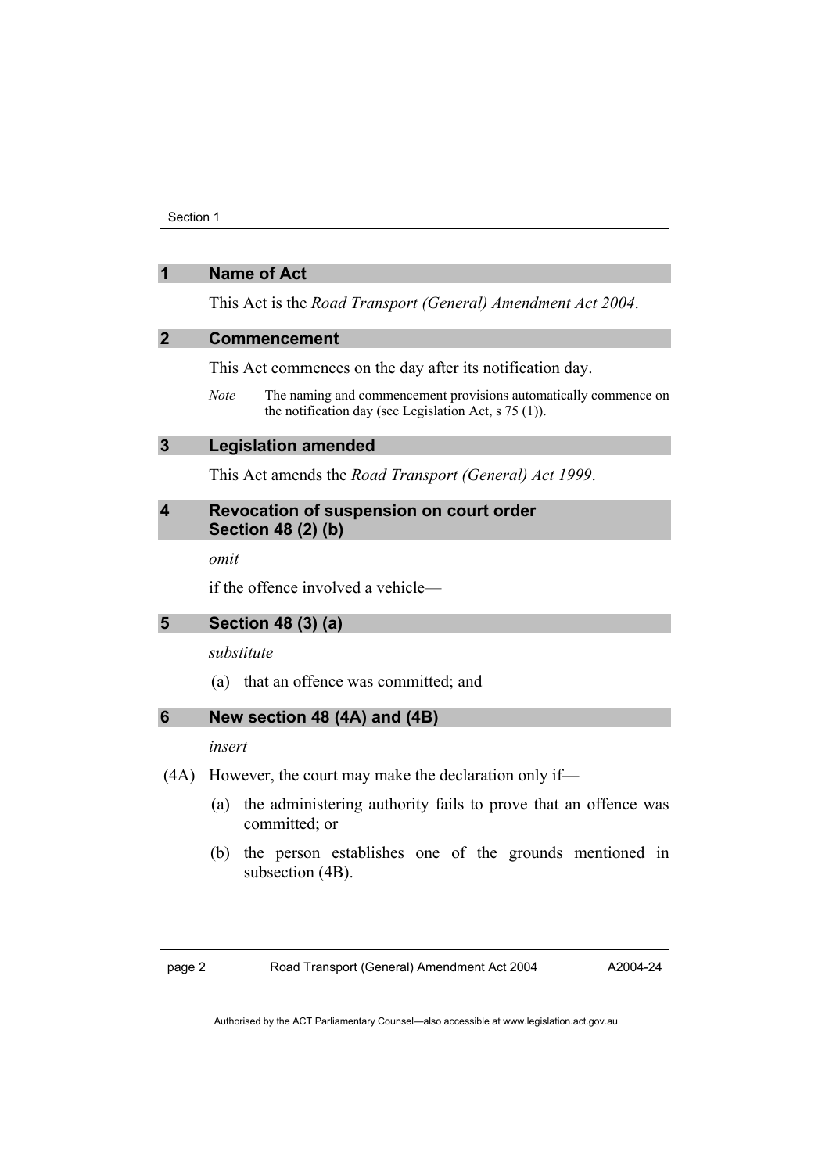#### **1 Name of Act**

This Act is the *Road Transport (General) Amendment Act 2004*.

#### **2 Commencement**

This Act commences on the day after its notification day.

*Note* The naming and commencement provisions automatically commence on the notification day (see Legislation Act, s 75 (1)).

#### **3 Legislation amended**

This Act amends the *Road Transport (General) Act 1999*.

#### **4 Revocation of suspension on court order Section 48 (2) (b)**

*omit* 

if the offence involved a vehicle—

#### **5 Section 48 (3) (a)**

#### *substitute*

(a) that an offence was committed; and

#### **6 New section 48 (4A) and (4B)**

#### *insert*

- (4A) However, the court may make the declaration only if—
	- (a) the administering authority fails to prove that an offence was committed; or
	- (b) the person establishes one of the grounds mentioned in subsection (4B).

page 2 Road Transport (General) Amendment Act 2004

A2004-24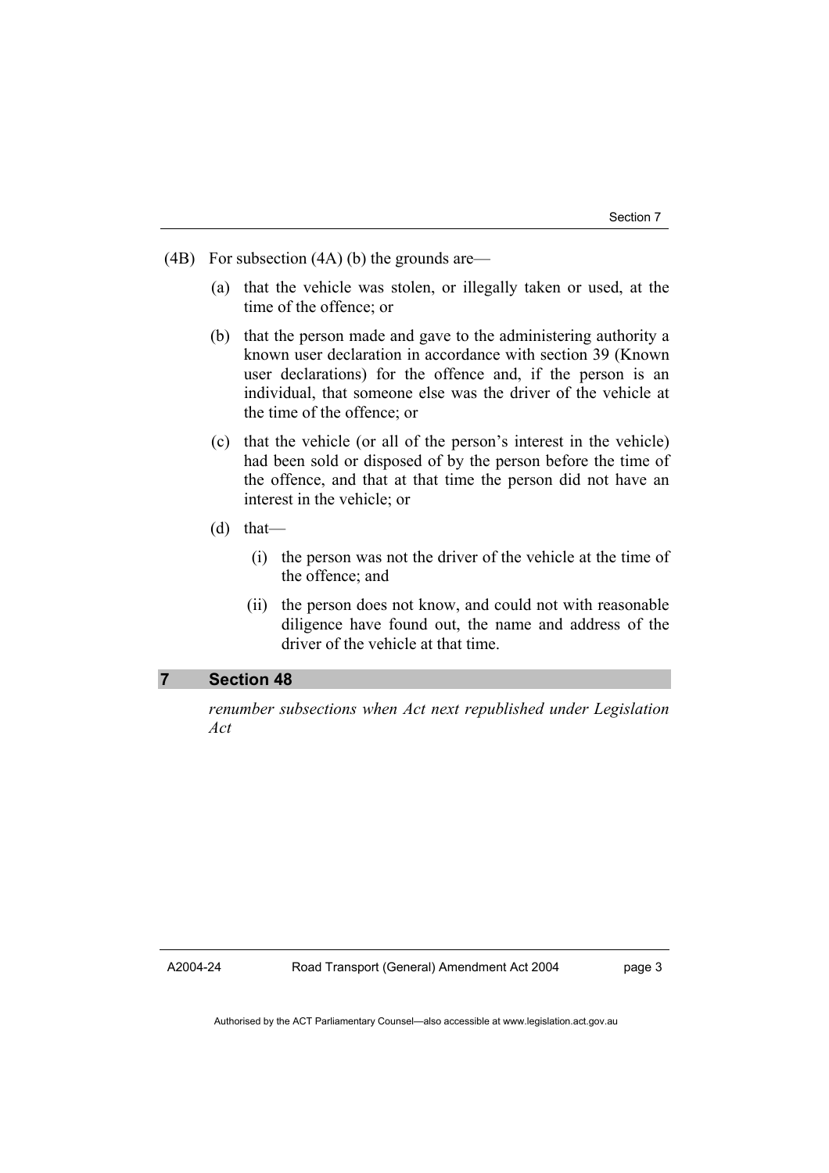- (4B) For subsection (4A) (b) the grounds are—
	- (a) that the vehicle was stolen, or illegally taken or used, at the time of the offence; or
	- (b) that the person made and gave to the administering authority a known user declaration in accordance with section 39 (Known user declarations) for the offence and, if the person is an individual, that someone else was the driver of the vehicle at the time of the offence; or
	- (c) that the vehicle (or all of the person's interest in the vehicle) had been sold or disposed of by the person before the time of the offence, and that at that time the person did not have an interest in the vehicle; or
	- (d) that—
		- (i) the person was not the driver of the vehicle at the time of the offence; and
		- (ii) the person does not know, and could not with reasonable diligence have found out, the name and address of the driver of the vehicle at that time.

#### **7 Section 48**

*renumber subsections when Act next republished under Legislation Act* 

A2004-24

page 3